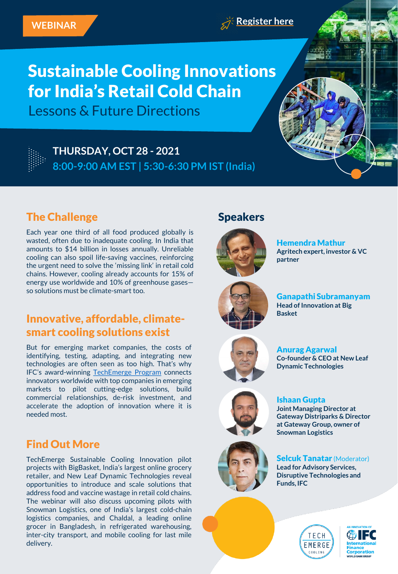Lessons & Future Directions



**THURSDAY, OCT 28 - 2021 8:00-9:00 AM EST | 5:30-6:30 PM IST (India)**

# The Challenge

Each year one third of all food produced globally is wasted, often due to inadequate cooling. In India that amounts to \$14 billion in losses annually. Unreliable cooling can also spoil life-saving vaccines, reinforcing the urgent need to solve the 'missing link' in retail cold chains. However, cooling already accounts for 15% of energy use worldwide and 10% of greenhouse gases so solutions must be climate-smart too.

## Innovative, affordable, climatesmart cooling solutions exist

But for emerging market companies, the costs of identifying, testing, adapting, and integrating new technologies are often seen as too high. That's why IFC's award-winning [TechEmerge](https://www.techemerge.org/) Program connects innovators worldwide with top companies in emerging markets to pilot cutting-edge solutions, build commercial relationships, de-risk investment, and accelerate the adoption of innovation where it is needed most.

## Find Out More

TechEmerge Sustainable Cooling Innovation pilot projects with BigBasket, India's largest online grocery retailer, and New Leaf Dynamic Technologies reveal opportunities to introduce and scale solutions that address food and vaccine wastage in retail cold chains. The webinar will also discuss upcoming pilots with Snowman Logistics, one of India's largest cold-chain logistics companies, and Chaldal, a leading online grocer in Bangladesh, in refrigerated warehousing, inter-city transport, and mobile cooling for last mile delivery.

## Speakers



Hemendra Mathur **Agritech expert, investor & VC partner**



Ganapathi Subramanyam **Head of Innovation at Big Basket**



Anurag Agarwal **Co-founder & CEO at New Leaf Dynamic Technologies**



Ishaan Gupta **Joint Managing Director at Gateway Distriparks & Director at Gateway Group, owner of** 

**Snowman Logistics**



**Selcuk Tanatar (Moderator) Lead for Advisory Services, Disruptive Technologies and Funds, IFC**



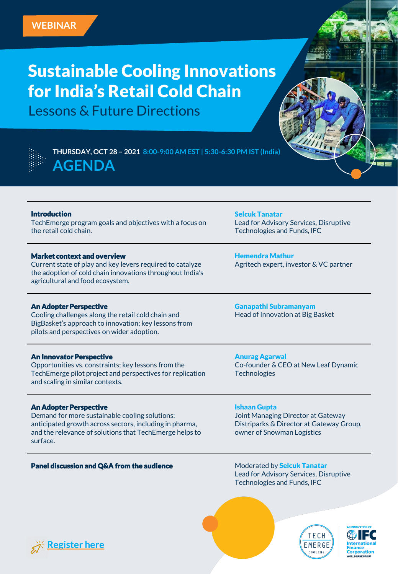Lessons & Future Directions

| ċ | ۰ |            |   |             |                      |               |
|---|---|------------|---|-------------|----------------------|---------------|
|   |   |            |   |             |                      |               |
|   |   |            |   |             |                      |               |
|   |   |            |   |             |                      |               |
|   |   |            |   |             |                      |               |
|   |   |            |   |             |                      |               |
|   |   |            |   |             |                      |               |
|   |   |            |   |             |                      |               |
|   |   |            |   |             |                      |               |
|   |   |            |   |             |                      |               |
|   |   |            |   | :<br>:<br>: | $\ddot{\phantom{a}}$ | $\frac{1}{2}$ |
|   |   |            |   |             |                      |               |
|   |   |            |   |             |                      |               |
|   |   |            |   |             |                      |               |
|   |   | . <i>.</i> | . |             |                      |               |
|   |   |            |   |             |                      |               |
|   |   |            |   |             |                      |               |
|   |   |            |   |             |                      |               |
|   |   |            |   |             |                      |               |
|   |   |            |   |             |                      |               |
|   |   |            |   |             |                      |               |
|   |   |            |   |             |                      |               |
|   |   |            |   |             |                      |               |

**THURSDAY, OCT 28 – 2021 8:00-9:00 AM EST | 5:30-6:30 PM IST (India) AGENDA**

#### Introduction

TechEmerge program goals and objectives with a focus on the retail cold chain.

#### Market context and overview

Current state of play and key levers required to catalyze the adoption of cold chain innovations throughout India's agricultural and food ecosystem.

#### An Adopter Perspective

Cooling challenges along the retail cold chain and BigBasket's approach to innovation; key lessons from pilots and perspectives on wider adoption.

#### An Innovator Perspective

Opportunities vs. constraints; key lessons from the TechEmerge pilot project and perspectives for replication and scaling in similar contexts.

#### An Adopter Perspective

Demand for more sustainable cooling solutions: anticipated growth across sectors, including in pharma, and the relevance of solutions that TechEmerge helps to surface.

#### Panel discussion and Q&A from the audience Moderated by Selcuk Tanatar

Selcuk Tanatar Lead for Advisory Services, Disruptive Technologies and Funds, IFC

Hemendra Mathur Agritech expert, investor & VC partner

Ganapathi Subramanyam Head of Innovation at Big Basket

Anurag Agarwal Co-founder & CEO at New Leaf Dynamic **Technologies** 

#### Ishaan Gupta

Joint Managing Director at Gateway Distriparks & Director at Gateway Group, owner of Snowman Logistics

Lead for Advisory Services, Disruptive Technologies and Funds, IFC





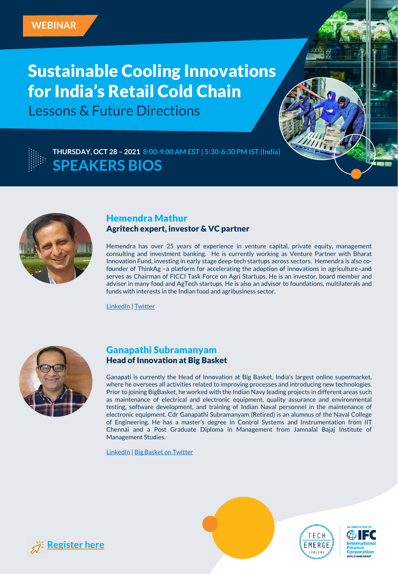Lessons & Future Directions

**THURSDAY, OCT 28 – 2021 8:00-9:00 AM EST | 5:30-6:30 PM IST (India) SPEAKERS BIOS**



### Hemendra Mathur Agritech expert, investor & VC partner

Hemendra has over 25 years of experience in venture capital, private equity, management consulting and investment banking. He is currently working as Venture Partner with Bharat Innovation Fund, investing in early stage deep-tech startups across sectors. Hemendra is also cofounder of ThinkAg –a platform for accelerating the adoption of innovations in agriculture–and serves as Chairman of FICCI Task Force on Agri Startups. He is an investor, board member and adviser in many food and AgTech startups. He is also an advisor to foundations, multilaterals and funds with interests in the Indian food and agribusiness sector.

[LinkedIn](https://www.linkedin.com/in/hemendra333) | [Twitter](https://twitter.com/hemendramathur)



### Ganapathi Subramanyam Head of Innovation at Big Basket

Ganapati is currently the Head of Innovation at Big Basket, India's largest online supermarket, where he oversees all activities related to improving processes and introducing new technologies. Prior to joining BigBasket, he worked with the Indian Navy leading projects in different areas such as maintenance of electrical and electronic equipment, quality assurance and environmental testing, software development, and training of Indian Naval personnel in the maintenance of electronic equipment. Cdr Ganapathi Subramanyam (Retired) is an alumnus of the Naval College of Engineering. He has a master's degree in Control Systems and Instrumentation from IIT Chennai and a Post Graduate Diploma in Management from Jamnalal Bajaj Institute of Management Studies.

[LinkedIn](https://www.linkedin.com/in/ganapathi-subramanyam/) | [Big Basket on Twitter](https://twitter.com/bigbasket_com)